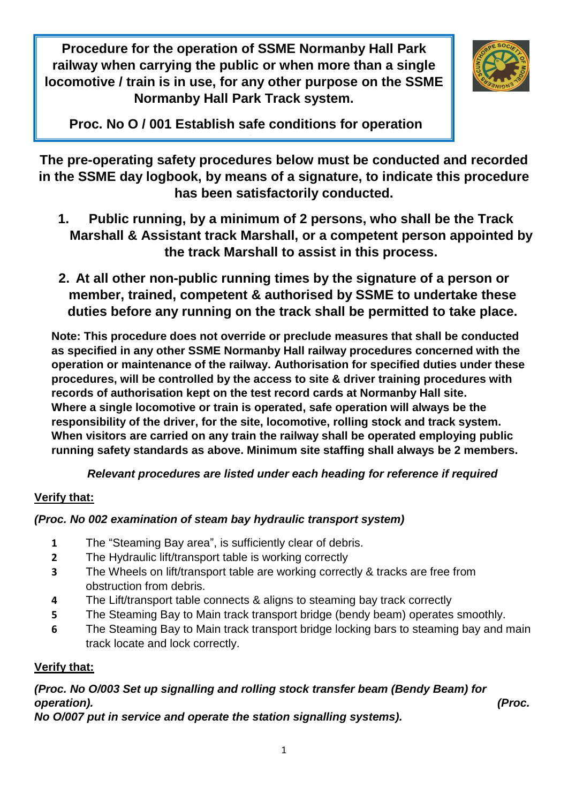**Procedure for the operation of SSME Normanby Hall Park railway when carrying the public or when more than a single locomotive / train is in use, for any other purpose on the SSME Normanby Hall Park Track system.**



**Proc. No O / 001 Establish safe conditions for operation running**

**The pre-operating safety procedures below must be conducted and recorded in the SSME day logbook, by means of a signature, to indicate this procedure has been satisfactorily conducted.**

- **1. Public running, by a minimum of 2 persons, who shall be the Track Marshall & Assistant track Marshall, or a competent person appointed by the track Marshall to assist in this process.**
- **2. At all other non-public running times by the signature of a person or member, trained, competent & authorised by SSME to undertake these duties before any running on the track shall be permitted to take place.**

**Note: This procedure does not override or preclude measures that shall be conducted as specified in any other SSME Normanby Hall railway procedures concerned with the operation or maintenance of the railway. Authorisation for specified duties under these procedures, will be controlled by the access to site & driver training procedures with records of authorisation kept on the test record cards at Normanby Hall site. Where a single locomotive or train is operated, safe operation will always be the responsibility of the driver, for the site, locomotive, rolling stock and track system. When visitors are carried on any train the railway shall be operated employing public running safety standards as above. Minimum site staffing shall always be 2 members.**

*Relevant procedures are listed under each heading for reference if required*

#### **Verify that:**

### *(Proc. No 002 examination of steam bay hydraulic transport system)*

- **1** The "Steaming Bay area", is sufficiently clear of debris.
- **2** The Hydraulic lift/transport table is working correctly
- **3** The Wheels on lift/transport table are working correctly & tracks are free from obstruction from debris.
- **4** The Lift/transport table connects & aligns to steaming bay track correctly
- **5** The Steaming Bay to Main track transport bridge (bendy beam) operates smoothly.
- **6** The Steaming Bay to Main track transport bridge locking bars to steaming bay and main track locate and lock correctly.

### **Verify that:**

### *(Proc. No O/003 Set up signalling and rolling stock transfer beam (Bendy Beam) for operation). (Proc.*

*No O/007 put in service and operate the station signalling systems).*